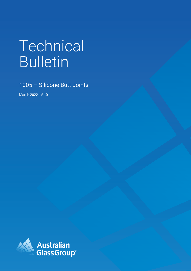# Technical Bulletin

1005 – Silicone Butt Joints

March 2022 - V1.0

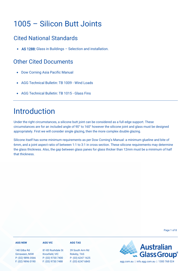## 1005 – Silicon Butt Joints

### Cited National Standards

• AS 1288: Glass in Buildings - Selection and installation.

### Other Cited Documents

- Dow Corning Asia Pacific Manual
- AGG Technical Bulletin: TB 1009 Wind Loads
- AGG Technical Bulletin: TB 1015 Glass Fins

## Introduction

Under the right circumstances, a silicone butt joint can be considered as a full edge support. These circumstances are for an included angle of 90° to 160° however the silicone joint and glass must be designed appropriately. First we will consider single glazing, then the more complex double glazing.

Silicone itself has some minimum requirements as per Dow Corning's Manual: a minimum glueline and bite of 6mm, and a joint aspect ratio of between 1:1 to 3:1 in cross section. These silicone requirements may determine the glass thickness. Also, the gap between glass panes for glass thicker than 12mm must be a minimum of half that thickness.

Page 1 of 8

#### **AGG NSW**

#### **AGG VIC**

140 Gilba Rd Girraween, NSW P: (02) 9896 0566 F: (02) 9896 0190 81-83 Rushdale St Knoxfield, VIC P: (03) 9730 7400 F: (03) 9730 7488

39 South Arm Rd Rokeby, TAS P: (03) 6247 1625

**AGG TAS**

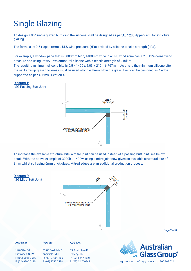# Single Glazing

To design a 90° single glazed butt joint, the silicone shall be designed as per AS 1288 Appendix F for structural glazing.

The formula is: 0.5 x span (mm) x ULS wind pressure (kPa) divided by silicone tensile strength (kPa).

For example, a window pane that is 3000mm high, 1400mm wide in an N3 wind zone has a 2.03kPa corner wind pressure and using DowSil 795 structural silicone with a tensile strength of 210kPa...

The resulting minimum silicone bite is  $0.5 \times 1400 \times 2.03 \div 210 = 6.767$  mm. As this is the minimum silicone bite, the next size up glass thickness must be used which is 8mm. Now the glass itself can be designed as 4 edge supported as per AS 1288 Section 4.



- SG Passing Butt Joint



To increase the available structural bite, a mitre joint can be used instead of a passing butt joint, see below detail. With the above example of 3000h x 1400w, using a mitre joint now gives an available structural bite of 8mm whilst still using 6mm thick glass. Mitred edges are an additional production process.



Page 2 of 8

#### **AGG TAS AGG NSW AGG VIC Australian** 140 Gilba Rd 81-83 Rushdale St 39 South Arm Rd **Glass Group®** Girraween, NSW Knoxfield, VIC Rokeby, TAS P: (02) 9896 0566 P: (03) 9730 7400 P: (03) 6247 1625 F: (02) 9896 0190 F: (03) 9730 7488 F: (03) 6247 6843 agg.com.au | info.agg.com.au | 1300 768 024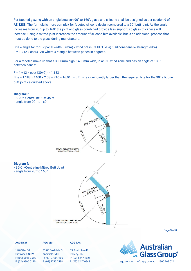For faceted glazing with an angle between 90° to 160°, glass and silicone shall be designed as per section 9 of AS 1288. The formula is more complex for faceted silicone design compared to a 90° butt joint. As the angle increases from 90° up to 160° the joint and glass combined provide less support, so glass thickness will increase. Using a mitred joint increases the amount of silicone bite available, but is an additional process that must be done to the glass during manufacture.

Bite = angle factor F x panel width B (mm) x wind pressure ULS (kPa)  $\div$  silicone tensile strength (kPa) F =  $1 \div (2 \times \cos(\theta \div 2))$  where  $\theta$  = angle between panes in degrees.

For a faceted make up that's 3000mm high, 1400mm wide, in an N3 wind zone and has an angle of 130° between panes:

 $F = 1 \div (2 \times \cos(130 \div 2)) = 1.183$ Bite = 1.183 x 1400 x 2.03 ÷ 210 = 16.01mm. This is significantly larger than the required bite for the 90° silicone butt joint calculated above.



P: (02) 9896 0566 F: (02) 9896 0190

P: (03) 9730 7400 F: (03) 9730 7488

Page 3 of 8

| <b>AGG NSW</b>                      | <b>AGG VIC</b>                      | <b>AGG TAS</b>                           |                                    |
|-------------------------------------|-------------------------------------|------------------------------------------|------------------------------------|
| 140 Gilba Rd                        | 81-83 Rushdale St                   | 39 South Arm Rd                          | <b>Australian<br/> Glass Group</b> |
| Girraween, NSW<br>D. (00) 0000 0000 | Knoxfield, VIC<br>D. (00) 0700 7400 | Rokeby, TAS<br>$D. (00)$ $C0$ $17$ $100$ |                                    |

P: (03) 6247 1625

F: (03) 6247 6843 agg.com.au | info.agg.com.au | 1300 768 024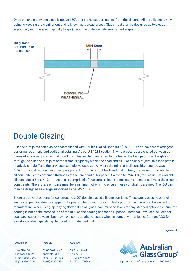Once the angle between glass is above 160°, there is no support gained from the silicone. All the silicone is now doing is keeping the weather out and is known as a weatherseal. Glass must then be designed as two edge supported, with the span (typically height) being the distance between framed edges.



### Double Glazing

Silicone butt joints can also be accomplished with Double Glazed Units (DGU), but DGU's do have more stringent performance criteria and additional detailing. As per AS 1288 section 3, wind pressures are shared between both panes of a double glazed unit. As load from this will be transferred to the frame, the load path from the glass through the silicone butt joint to the frame is typically within the head and sill. For a 90° butt joint, this load path is relatively simple. Take the previous example we used above where the minimum silicone bite required was 6.767mm and it required an 8mm glass pane. If this was a double glazed unit instead, the maximum available silicone bite is the combined thickness of the inner and outer panes. So for a 6/12/6 DGU, the maximum available silicone bite is 6 + 6 = 12mm. As this is comprised of two small silicone joints, each one must still meet the silicone constraints. Therefore, each pane must be a minimum of 6mm to ensure these constraints are met. The IGU can then be designed as 4 edge supported as per AS 1288.

There are several options for constructing a 90° double glazed silicone butt joint. These are: a passing butt joint, single stepped and double stepped. The passing butt joint is the simplest option and is therefore the easiest to manufacture. When using/specifying Softcoat LowE glass, care must be taken for any stepped option to ensure the coating is not on the stepped lite of the DGU as the coating cannot be exposed. Hardcoat LowE can be used for such application however, but may have some aesthetic issues when in contact with silicone. Contact AGG for assistance when specifying Hardcoat LowE stepped units.

Page 4 of 8

#### **AGG NSW**

#### **AGG VIC**

140 Gilba Rd Girraween, NSW P: (02) 9896 0566 F: (02) 9896 0190

#### 81-83 Rushdale St Knoxfield, VIC P: (03) 9730 7400 F: (03) 9730 7488

39 South Arm Rd Rokeby, TAS P: (03) 6247 1625

**AGG TAS**



F: (03) 6247 6843 agg.com.au | info.agg.com.au | 1300 768 024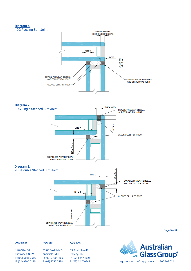#### Diagram 6:





#### Diagram 8:



Page 5 of 8

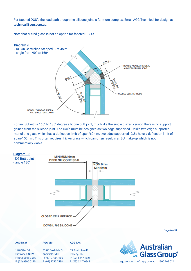For faceted DGU's the load path though the silicone joint is far more complex. Email AGG Technical for design at technical@agg.com.au.

Note that Mitred glass is not an option for faceted DGU's.



For an IGU with a 160° to 180° degree silicone butt joint, much like the single glazed version there is no support gained from the silicone joint. The IGU's must be designed as two edge supported. Unlike two edge supported monolithic glass which has a deflection limit of span/60mm, two edge supported IGU's have a deflection limit of span/150mm. This often requires thicker glass which can often result in a IGU make-up which is not commercially viable.

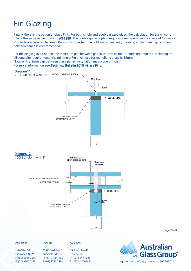## Fin Glazing

Finally, there is the option of glass Fins. For both single and double glazed glass, the calculation for the silicone bite is the same as Section 9 of AS 1288. The double glazed option requires a minimum Fin thickness of 19mm as PEF rods are required between the DGU's to protect the DGU secondary seal; meaning a minimum gap of 6mm between panes is recommended.

For the single glazed option, the minimum gap between panes is 3mm as no PEF rods are required. Including the silicone bite requirements, the minimum Fin thickness for monolithic glass is 15mm. Note: with a 3mm gap between glass panes installation may prove difficult. For more information see [Technical Bulletin 1015 - Glass Fins](https://agg.com.au/wp-content/uploads/2022/03/AGG-Technical-Bulletin-1015-Glass-Fins.pdf).

#### Diagram 11:



#### Diagram12: - DG Butt Joint with Fin



Page 7 of 8

#### **AGG NSW** 140 Gilba Rd **AGG VIC** 81-83 Rushdale St **AGG TAS** 39 South Arm Rd

Girraween, NSW P: (02) 9896 0566 F: (02) 9896 0190 Knoxfield, VIC P: (03) 9730 7400 F: (03) 9730 7488 Rokeby, TAS P: (03) 6247 1625